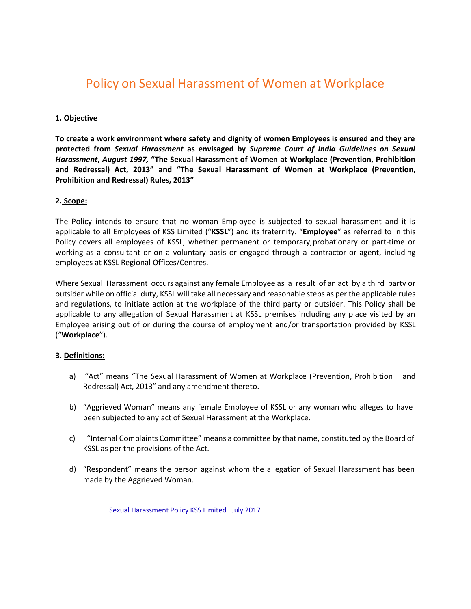# Policy on Sexual Harassment of Women at Workplace

#### **1. Objective**

**To create a work environment where safety and dignity of women Employees is ensured and they are protected from** *Sexual Harassment* **as envisaged by** *Supreme Court of India Guidelines on Sexual Harassment***,** *August 1997,* **"The Sexual Harassment of Women at Workplace (Prevention, Prohibition and Redressal) Act, 2013" and "The Sexual Harassment of Women at Workplace (Prevention, Prohibition and Redressal) Rules, 2013"**

#### **2. Scope:**

The Policy intends to ensure that no woman Employee is subjected to sexual harassment and it is applicable to all Employees of KSS Limited ("**KSSL**") and its fraternity. "**Employee**" as referred to in this Policy covers all employees of KSSL, whether permanent or temporary,probationary or part-time or working as a consultant or on a voluntary basis or engaged through a contractor or agent, including employees at KSSL Regional Offices/Centres.

Where Sexual Harassment occurs against any female Employee as a result of an act by a third party or outsider while on official duty, KSSL will take all necessary and reasonable steps as per the applicable rules and regulations, to initiate action at the workplace of the third party or outsider. This Policy shall be applicable to any allegation of Sexual Harassment at KSSL premises including any place visited by an Employee arising out of or during the course of employment and/or transportation provided by KSSL ("**Workplace**").

#### **3. Definitions:**

- a) "Act" means "The Sexual Harassment of Women at Workplace (Prevention, Prohibition and Redressal) Act, 2013" and any amendment thereto.
- b) "Aggrieved Woman" means any female Employee of KSSL or any woman who alleges to have been subjected to any act of Sexual Harassment at the Workplace.
- c) "Internal Complaints Committee" means a committee by that name, constituted by the Board of KSSL as per the provisions of the Act.
- d) "Respondent" means the person against whom the allegation of Sexual Harassment has been made by the Aggrieved Woman.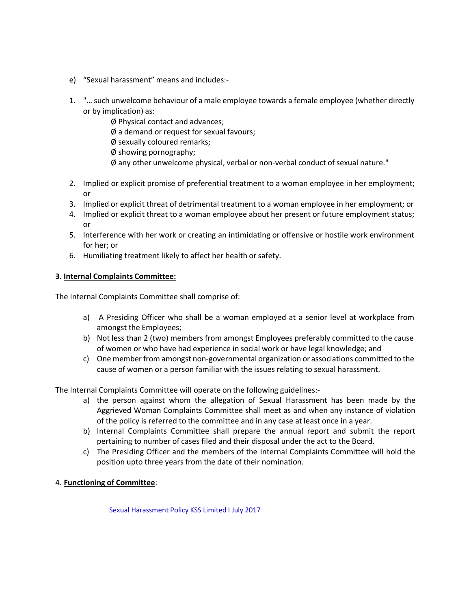- e) "Sexual harassment" means and includes:-
- 1. "… such unwelcome behaviour of a male employee towards a female employee (whether directly or by implication) as:
	- Ø Physical contact and advances;
	- Ø a demand or request for sexual favours;
	- Ø sexually coloured remarks;
	- Ø showing pornography;
	- Ø any other unwelcome physical, verbal or non-verbal conduct of sexual nature."
- 2. Implied or explicit promise of preferential treatment to a woman employee in her employment; or
- 3. Implied or explicit threat of detrimental treatment to a woman employee in her employment; or
- 4. Implied or explicit threat to a woman employee about her present or future employment status; or
- 5. Interference with her work or creating an intimidating or offensive or hostile work environment for her; or
- 6. Humiliating treatment likely to affect her health or safety.

# **3. Internal Complaints Committee:**

The Internal Complaints Committee shall comprise of:

- a) A Presiding Officer who shall be a woman employed at a senior level at workplace from amongst the Employees;
- b) Not less than 2 (two) members from amongst Employees preferably committed to the cause of women or who have had experience in social work or have legal knowledge; and
- c) One member from amongst non-governmental organization or associations committed to the cause of women or a person familiar with the issues relating to sexual harassment.

The Internal Complaints Committee will operate on the following guidelines:-

- a) the person against whom the allegation of Sexual Harassment has been made by the Aggrieved Woman Complaints Committee shall meet as and when any instance of violation of the policy is referred to the committee and in any case at least once in a year.
- b) Internal Complaints Committee shall prepare the annual report and submit the report pertaining to number of cases filed and their disposal under the act to the Board.
- c) The Presiding Officer and the members of the Internal Complaints Committee will hold the position upto three years from the date of their nomination.

#### 4. **Functioning of Committee**: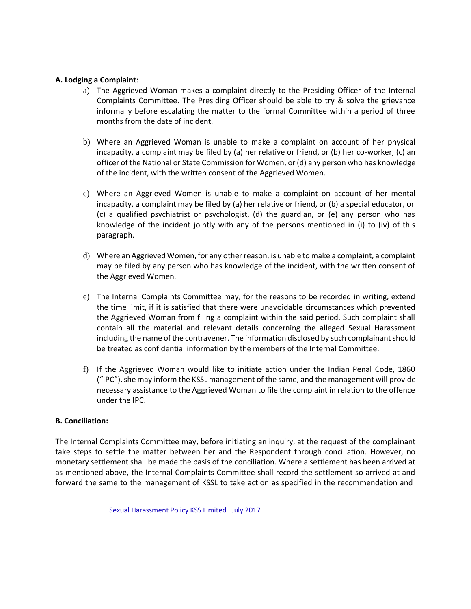#### **A. Lodging a Complaint**:

- a) The Aggrieved Woman makes a complaint directly to the Presiding Officer of the Internal Complaints Committee. The Presiding Officer should be able to try & solve the grievance informally before escalating the matter to the formal Committee within a period of three months from the date of incident.
- b) Where an Aggrieved Woman is unable to make a complaint on account of her physical incapacity, a complaint may be filed by (a) her relative or friend, or (b) her co-worker, (c) an officer of the National or State Commission for Women, or(d) any person who has knowledge of the incident, with the written consent of the Aggrieved Women.
- c) Where an Aggrieved Women is unable to make a complaint on account of her mental incapacity, a complaint may be filed by (a) her relative or friend, or (b) a special educator, or (c) a qualified psychiatrist or psychologist, (d) the guardian, or (e) any person who has knowledge of the incident jointly with any of the persons mentioned in (i) to (iv) of this paragraph.
- d) Where an Aggrieved Women,for any other reason, is unable to make a complaint, a complaint may be filed by any person who has knowledge of the incident, with the written consent of the Aggrieved Women.
- e) The Internal Complaints Committee may, for the reasons to be recorded in writing, extend the time limit, if it is satisfied that there were unavoidable circumstances which prevented the Aggrieved Woman from filing a complaint within the said period. Such complaint shall contain all the material and relevant details concerning the alleged Sexual Harassment including the name of the contravener. The information disclosed by such complainant should be treated as confidential information by the members of the Internal Committee.
- f) If the Aggrieved Woman would like to initiate action under the Indian Penal Code, 1860 ("IPC"),she may inform the KSSL management of the same, and the management will provide necessary assistance to the Aggrieved Woman to file the complaint in relation to the offence under the IPC.

#### **B. Conciliation:**

The Internal Complaints Committee may, before initiating an inquiry, at the request of the complainant take steps to settle the matter between her and the Respondent through conciliation. However, no monetary settlement shall be made the basis of the conciliation. Where a settlement has been arrived at as mentioned above, the Internal Complaints Committee shall record the settlement so arrived at and forward the same to the management of KSSL to take action as specified in the recommendation and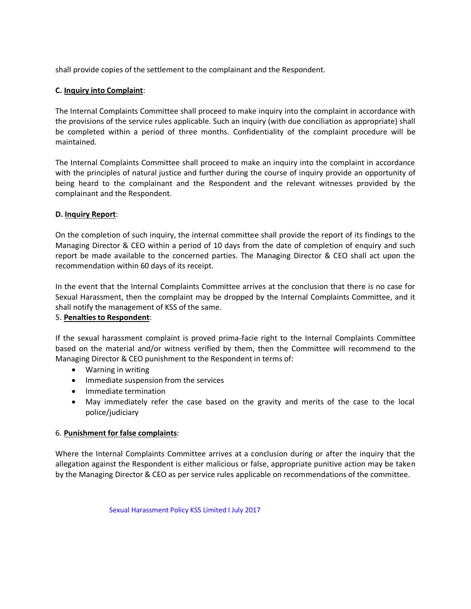shall provide copies of the settlement to the complainant and the Respondent.

#### **C. Inquiry into Complaint**:

The Internal Complaints Committee shall proceed to make inquiry into the complaint in accordance with the provisions of the service rules applicable. Such an inquiry (with due conciliation as appropriate) shall be completed within a period of three months. Confidentiality of the complaint procedure will be maintained.

The Internal Complaints Committee shall proceed to make an inquiry into the complaint in accordance with the principles of natural justice and further during the course of inquiry provide an opportunity of being heard to the complainant and the Respondent and the relevant witnesses provided by the complainant and the Respondent.

# **D. Inquiry Report**:

On the completion of such inquiry, the internal committee shall provide the report of its findings to the Managing Director & CEO within a period of 10 days from the date of completion of enquiry and such report be made available to the concerned parties. The Managing Director & CEO shall act upon the recommendation within 60 days of its receipt.

In the event that the Internal Complaints Committee arrives at the conclusion that there is no case for Sexual Harassment, then the complaint may be dropped by the Internal Complaints Committee, and it shall notify the management of KSS of the same.

#### 5. **Penaltiesto Respondent**:

If the sexual harassment complaint is proved prima-facie right to the Internal Complaints Committee based on the material and/or witness verified by them, then the Committee will recommend to the Managing Director & CEO punishment to the Respondent in terms of:

- Warning in writing
- Immediate suspension from the services
- Immediate termination
- May immediately refer the case based on the gravity and merits of the case to the local police/judiciary

# 6. **Punishment for false complaints**:

Where the Internal Complaints Committee arrives at a conclusion during or after the inquiry that the allegation against the Respondent is either malicious or false, appropriate punitive action may be taken by the Managing Director & CEO as per service rules applicable on recommendations of the committee.